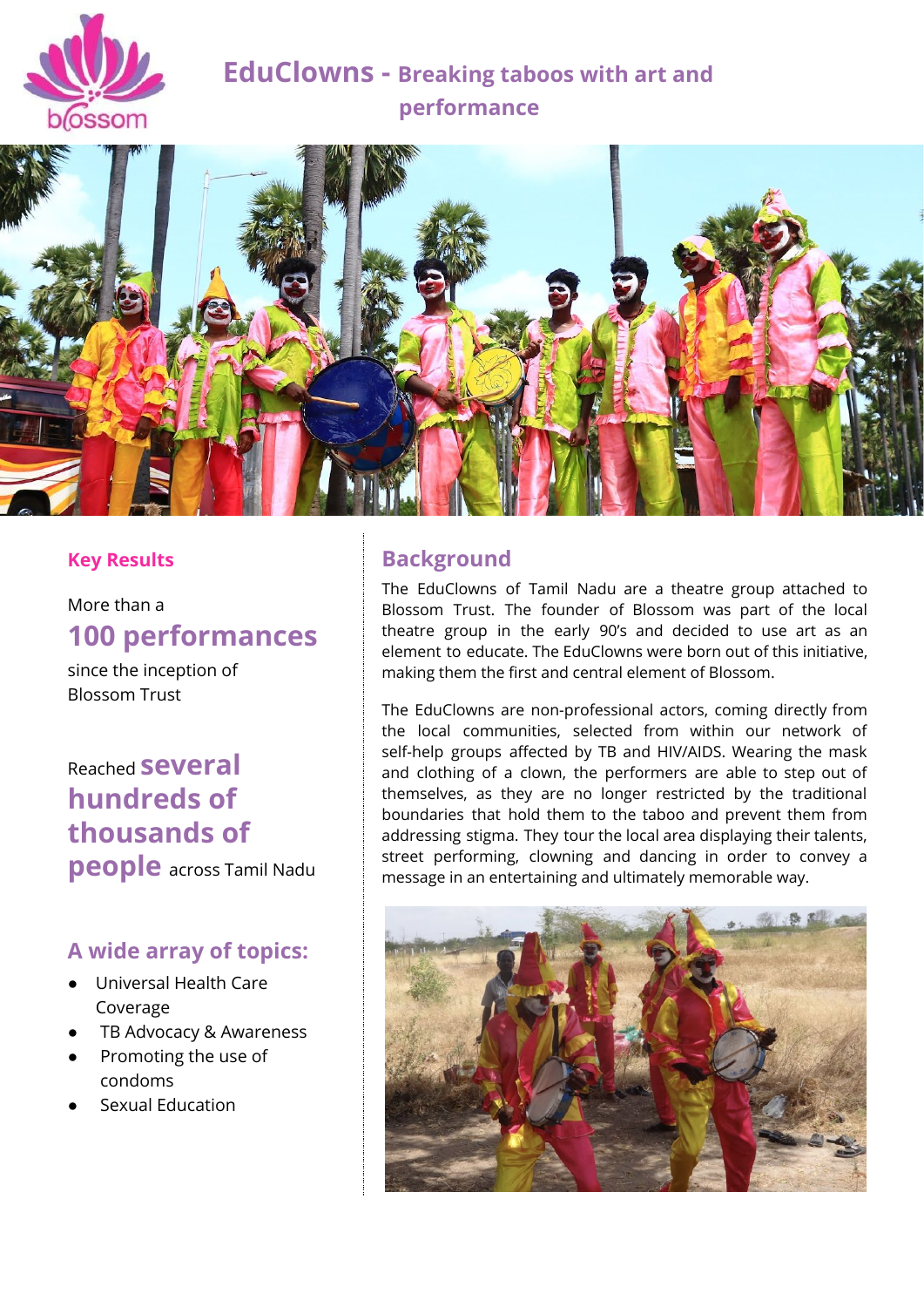

# **EduClowns - Breaking taboos with art and performance**



### **Key Results**

More than a **100 performances**

since the inception of Blossom Trust

# Reached **several hundreds of thousands of**

**people** across Tamil Nadu

## **A wide array of topics:**

- Universal Health Care Coverage
- TB Advocacy & Awareness
- Promoting the use of condoms
- **Sexual Education**

## **Background**

The EduClowns of Tamil Nadu are a theatre group attached to Blossom Trust. The founder of Blossom was part of the local theatre group in the early 90's and decided to use art as an element to educate. The EduClowns were born out of this initiative, making them the first and central element of Blossom.

The EduClowns are non-professional actors, coming directly from the local communities, selected from within our network of self-help groups affected by TB and HIV/AIDS. Wearing the mask and clothing of a clown, the performers are able to step out of themselves, as they are no longer restricted by the traditional boundaries that hold them to the taboo and prevent them from addressing stigma. They tour the local area displaying their talents, street performing, clowning and dancing in order to convey a message in an entertaining and ultimately memorable way.